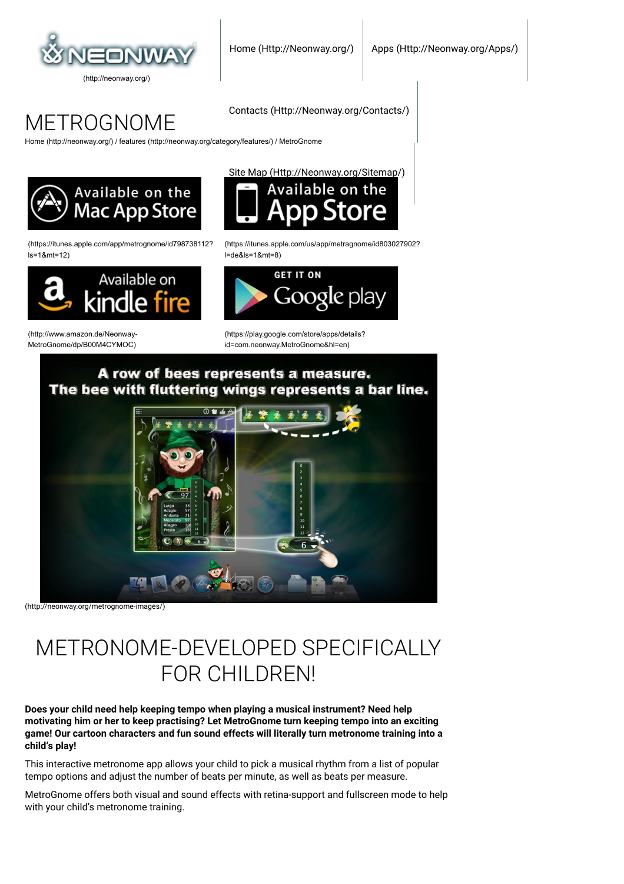

METROGNOME

[Home \(http://neonway.org/\)](http://neonway.org/) / [features \(http://neonway.org/category/features/\)](http://neonway.org/category/features/) / MetroGnome



[\(https://itunes.apple.com/app/metrognome/id798738112?](https://itunes.apple.com/app/metrognome/id798738112?ls=1&mt=12)  $le=1$   $Rmt=12$ )



[\(http://www.amazon.de/Neonway-](http://www.amazon.de/Neonway-MetroGnome/dp/B00M4CYMOC)MetroGnome/dp/B00M4CYMOC) [Site Map \(Http://Neonway.org/Sitemap/\)](http://neonway.org/sitemap/)

[Contacts \(Http://Neonway.org/Contacts/\)](http://neonway.org/contacts/)



[\(https://itunes.apple.com/us/app/metragnome/id803027902?](https://itunes.apple.com/us/app/metragnome/id803027902?l=de&ls=1&mt=8) l=de&ls=1&mt=8)



[\(https://play.google.com/store/apps/details?](https://play.google.com/store/apps/details?id=com.neonway.MetroGnome&hl=en) id=com.neonway.MetroGnome&hl=en)

## A row of bees represents a measure. The bee with fluttering wings represents a bar line.



[\(http://neonway.org/metrognome-images/\)](http://neonway.org/metrognome-images/)

# METRONOME-DEVELOPED SPECIFICALLY FOR CHILDREN!

**Does your child need help keeping tempo when playing a musical instrument? Need help motivating him or her to keep practising? Let MetroGnome turn keeping tempo into an exciting game! Our cartoon characters and fun sound effects will literally turn metronome training into a child's play!**

This interactive metronome app allows your child to pick a musical rhythm from a list of popular tempo options and adjust the number of beats per minute, as well as beats per measure.

MetroGnome offers both visual and sound effects with retina-support and fullscreen mode to help with your child's metronome training.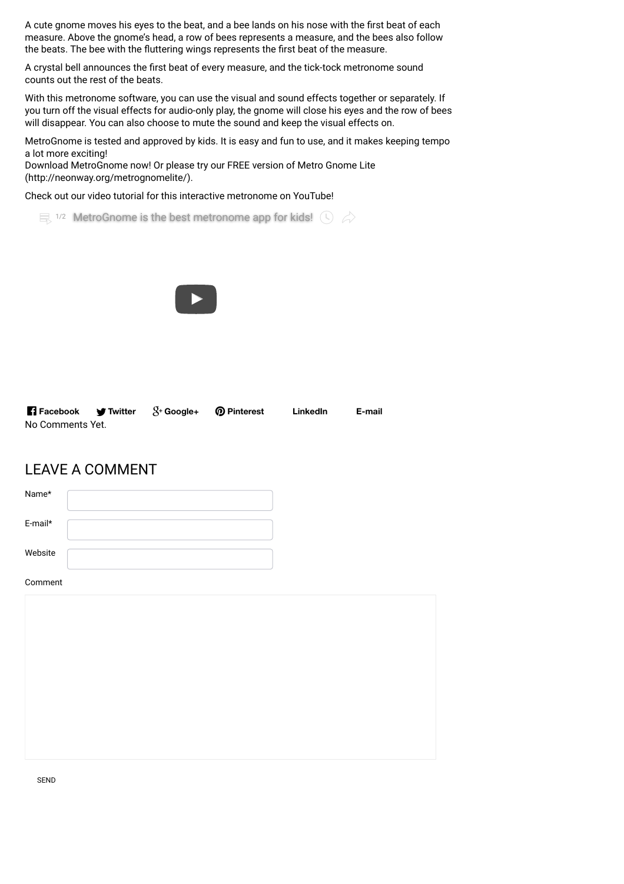A cute gnome moves his eyes to the beat, and a bee lands on his nose with the first beat of each measure. Above the gnome's head, a row of bees represents a measure, and the bees also follow the beats. The bee with the fluttering wings represents the first beat of the measure.

A crystal bell announces the first beat of every measure, and the tick-tock metronome sound counts out the rest of the beats.

With this metronome software, you can use the visual and sound effects together or separately. If you turn off the visual effects for audio-only play, the gnome will close his eyes and the row of bees will disappear. You can also choose to mute the sound and keep the visual effects on.

MetroGnome is tested and approved by kids. It is easy and fun to use, and it makes keeping tempo a lot more exciting!

[Download MetroGnome now! Or please try our FREE version of Metro Gnome Lite](http://neonway.org/metrognomelite/) (http://neonway.org/metrognomelite/).

Check out our video tutorial for this interactive metronome on YouTube!

 $\equiv$  1/2 [MetroGnome is the best metronome app for kids!](https://www.youtube.com/watch?list=PLuaVbnfoG3qeP0q3KRpYqgSxPrYACTovw&v=RZ-RsorBb5o)  $\binom{1}{2}$ 



| <b>T</b> Facebook <b>T</b> Twitter $S+$ Google+ <b>Q</b> Pinterest |  | LinkedIn | E-mail |
|--------------------------------------------------------------------|--|----------|--------|
| No Comments Yet.                                                   |  |          |        |

## LEAVE A COMMENT

| Name*   |  |
|---------|--|
| E-mail* |  |
| Website |  |
| Comment |  |

SEND